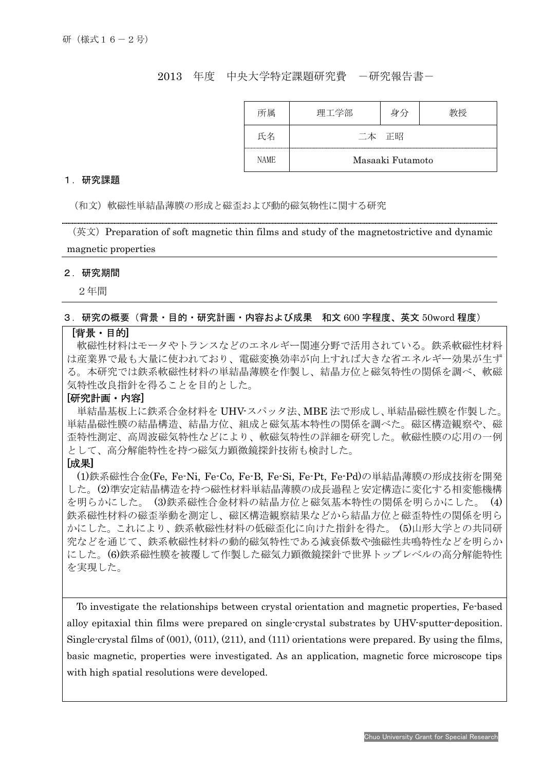# 2013 年度 中央大学特定課題研究費 -研究報告書-

| 所属          | 理工学部             | 身分 |  |
|-------------|------------------|----|--|
| 氏名          | 正昭<br>二本         |    |  |
| <b>NAME</b> | Masaaki Futamoto |    |  |

### 1.研究課題

(和文)軟磁性単結晶薄膜の形成と磁歪および動的磁気物性に関する研究

 $(\mathfrak{F}\mathfrak{X})$  Preparation of soft magnetic thin films and study of the magnetostrictive and dynamic magnetic properties

#### 2.研究期間

I

2年間

## 3.研究の概要(背景・目的・研究計画・内容および成果 和文 600 字程度、英文 50word 程度)

# [背景・目的]

軟磁性材料はモータやトランスなどのエネルギー関連分野で活用されている。鉄系軟磁性材料 は産業界で最も大量に使われており、電磁変換効率が向上すれば大きな省エネルギー効果が生ず る。本研究では鉄系軟磁性材料の単結晶薄膜を作製し、結晶方位と磁気特性の関係を調べ、軟磁 気特性改良指針を得ることを目的とした。

## [研究計画・内容]

単結晶基板上に鉄系合金材料を UHV-スパッタ法、MBE 法で形成し、単結晶磁性膜を作製した。 単結晶磁性膜の結晶構造、結晶方位、組成と磁気基本特性の関係を調べた。磁区構造観察や、磁 歪特性測定、高周波磁気特性などにより、軟磁気特性の詳細を研究した。軟磁性膜の応用の一例 として、高分解能特性を持つ磁気力顕微鏡探針技術も検討した。

#### [成果]

(1)鉄系磁性合金(Fe, Fe-Ni, Fe-Co, Fe-B, Fe-Si, Fe-Pt, Fe-Pd)の単結晶薄膜の形成技術を開発 した。(2)準安定結晶構造を持つ磁性材料単結晶薄膜の成長過程と安定構造に変化する相変態機構 を明らかにした。 (3)鉄系磁性合金材料の結晶方位と磁気基本特性の関係を明らかにした。 (4) 鉄系磁性材料の磁歪挙動を測定し、磁区構造観察結果などから結晶方位と磁歪特性の関係を明ら かにした。これにより、鉄系軟磁性材料の低磁歪化に向けた指針を得た。 (5)山形大学との共同研 究などを通じて、鉄系軟磁性材料の動的磁気特性である減衰係数や強磁性共鳴特性などを明らか にした。(6)鉄系磁性膜を被覆して作製した磁気力顕微鏡探針で世界トップレベルの高分解能特性 を実現した。

To investigate the relationships between crystal orientation and magnetic properties, Fe-based alloy epitaxial thin films were prepared on single-crystal substrates by UHV-sputter-deposition. Single-crystal films of (001), (011), (211), and (111) orientations were prepared. By using the films, basic magnetic, properties were investigated. As an application, magnetic force microscope tips with high spatial resolutions were developed.